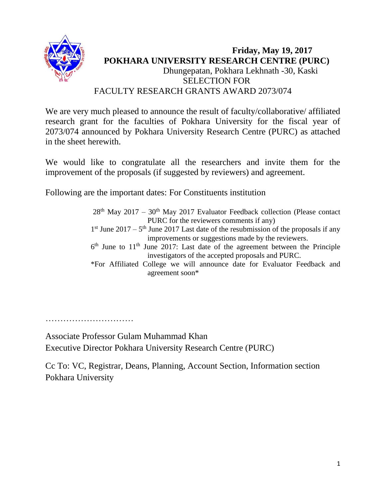

#### **Friday, May 19, 2017 POKHARA UNIVERSITY RESEARCH CENTRE (PURC)** Dhungepatan, Pokhara Lekhnath -30, Kaski SELECTION FOR FACULTY RESEARCH GRANTS AWARD 2073/074

We are very much pleased to announce the result of faculty/collaborative/ affiliated research grant for the faculties of Pokhara University for the fiscal year of 2073/074 announced by Pokhara University Research Centre (PURC) as attached in the sheet herewith.

We would like to congratulate all the researchers and invite them for the improvement of the proposals (if suggested by reviewers) and agreement.

Following are the important dates: For Constituents institution

 $28<sup>th</sup>$  May 2017 – 30<sup>th</sup> May 2017 Evaluator Feedback collection (Please contact PURC for the reviewers comments if any)  $1<sup>st</sup>$  June 2017 –  $5<sup>th</sup>$  June 2017 Last date of the resubmission of the proposals if any improvements or suggestions made by the reviewers.  $6<sup>th</sup>$  June to 11<sup>th</sup> June 2017: Last date of the agreement between the Principle investigators of the accepted proposals and PURC. \*For Affiliated College we will announce date for Evaluator Feedback and agreement soon\*

……………………………………

Associate Professor Gulam Muhammad Khan Executive Director Pokhara University Research Centre (PURC)

Cc To: VC, Registrar, Deans, Planning, Account Section, Information section Pokhara University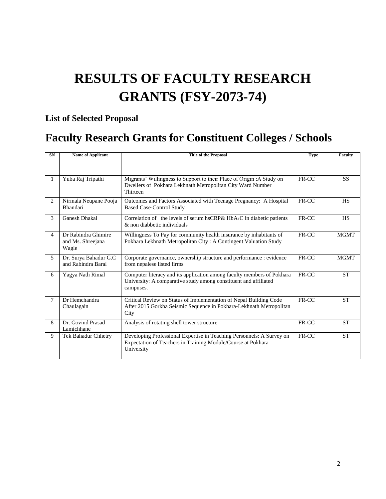# **RESULTS OF FACULTY RESEARCH GRANTS (FSY-2073-74)**

### **List of Selected Proposal**

## **Faculty Research Grants for Constituent Colleges / Schools**

| <b>SN</b>      | <b>Name of Applicant</b>                          | <b>Title of the Proposal</b>                                                                                                                            | <b>Type</b> | Faculty     |
|----------------|---------------------------------------------------|---------------------------------------------------------------------------------------------------------------------------------------------------------|-------------|-------------|
|                |                                                   |                                                                                                                                                         |             |             |
|                | Yuba Raj Tripathi                                 | Migrants' Willingness to Support to their Place of Origin : A Study on<br>Dwellers of Pokhara Lekhnath Metropolitan City Ward Number<br>Thirteen        | FR-CC       | <b>SS</b>   |
| $\overline{2}$ | Nirmala Neupane Pooja<br>Bhandari                 | Outcomes and Factors Associated with Teenage Pregnancy: A Hospital<br><b>Based Case-Control Study</b>                                                   | FR-CC       | <b>HS</b>   |
| 3              | <b>Ganesh Dhakal</b>                              | Correlation of the levels of serum hsCRP& $HbA_1C$ in diabetic patients<br>& non diabbetic individuals                                                  | FR-CC       | <b>HS</b>   |
| $\overline{4}$ | Dr Rabindra Ghimire<br>and Ms. Shreejana<br>Wagle | Willingness To Pay for community health insurance by inhabitants of<br>Pokhara Lekhnath Metropolitan City: A Contingent Valuation Study                 | FR-CC       | <b>MGMT</b> |
| 5              | Dr. Surya Bahadur G.C<br>and Rabindra Baral       | Corporate governance, ownership structure and performance : evidence<br>from nepalese listed firms                                                      | FR-CC       | <b>MGMT</b> |
| 6              | Yagya Nath Rimal                                  | Computer literacy and its application among faculty members of Pokhara<br>University: A comparative study among constituent and affiliated<br>campuses. | FR-CC       | <b>ST</b>   |
| 7              | Dr Hemchandra<br>Chaulagain                       | Critical Review on Status of Implementation of Nepal Building Code<br>After 2015 Gorkha Seismic Sequence in Pokhara-Lekhnath Metropolitan<br>City       | FR-CC       | <b>ST</b>   |
| 8              | Dr. Govind Prasad<br>Lamichhane                   | Analysis of rotating shell tower structure                                                                                                              | FR-CC       | <b>ST</b>   |
| 9              | Tek Bahadur Chhetry                               | Developing Professional Expertise in Teaching Personnels: A Survey on<br>Expectation of Teachers in Training Module/Course at Pokhara<br>University     | FR-CC       | <b>ST</b>   |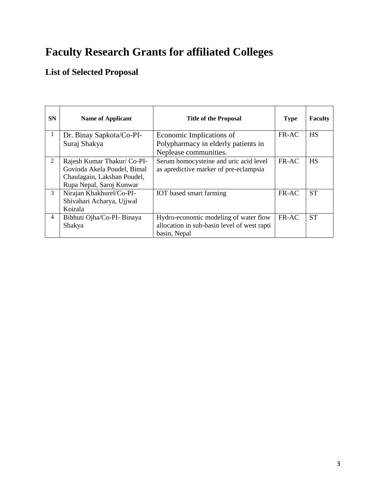## **Faculty Research Grants for affiliated Colleges**

### **List of Selected Proposal**

| <b>SN</b>      | <b>Name of Applicant</b>    | <b>Title of the Proposal</b>                | <b>Type</b> | <b>Faculty</b> |
|----------------|-----------------------------|---------------------------------------------|-------------|----------------|
| 1              | Dr. Binay Sapkota/Co-PI-    | Economic Implications of                    | FR-AC       | <b>HS</b>      |
|                | Suraj Shakya                | Polypharmacy in elderly patients in         |             |                |
|                |                             | Neplease communities.                       |             |                |
| $\overline{2}$ | Rajesh Kumar Thakur/ Co-PI- | Serum homocysteine and uric acid level      | FR-AC       | <b>HS</b>      |
|                | Govinda Akela Poudel, Bimal | as apredictive marker of pre-eclampsia      |             |                |
|                | Chaulagain, Lakshan Poudel, |                                             |             |                |
|                | Rupa Nepal, Saroj Kunwar    |                                             |             |                |
| 3              | Nirajan Khakhurel/Co-PI-    | <b>IOT</b> based smart farming              | FR-AC       | <b>ST</b>      |
|                | Shivahari Acharya, Ujjwal   |                                             |             |                |
|                | Koirala                     |                                             |             |                |
| $\overline{4}$ | Bibhuti Ojha/Co-PI- Binaya  | Hydro-economic modeling of water flow       | FR-AC       | <b>ST</b>      |
|                | Shakya                      | allocation in sub-basin level of west rapti |             |                |
|                |                             | basin, Nepal                                |             |                |